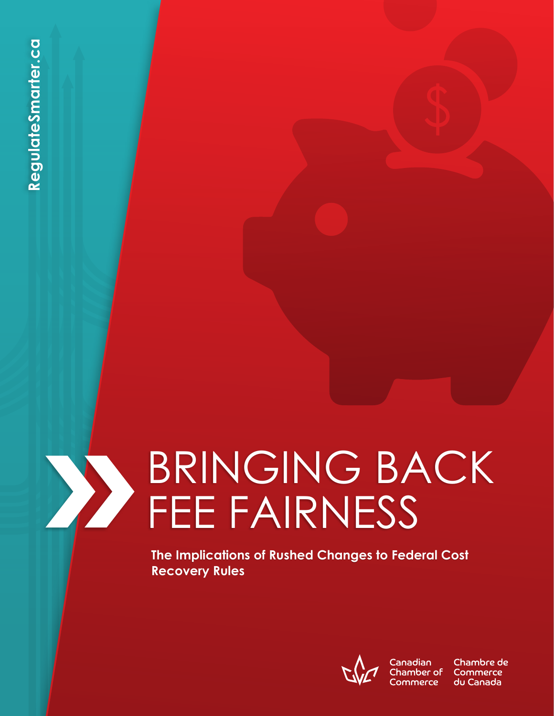# **1** BRINGING E<br> **1** BRINGING E<br> **IFFEE FAIRNES**<br> **IFFEE FAIRNES**<br> **IFFEE FAIRNES** BRINGING BACK FEE FAIRNESS

**The Implications of Rushed Changes to Federal Cost Recovery Rules**



Chamber of Commerce

Chambre de Commerce du Canada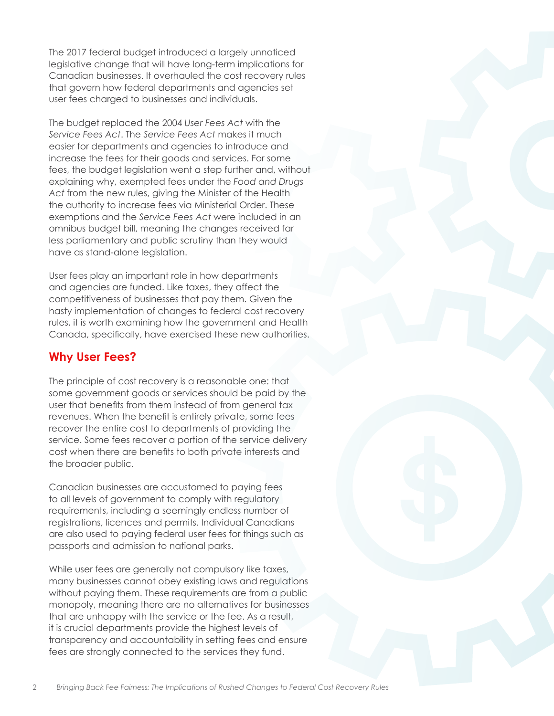The 2017 federal budget introduced a largely unnoticed legislative change that will have long-term implications for Canadian businesses. It overhauled the cost recovery rules that govern how federal departments and agencies set user fees charged to businesses and individuals.

The budget replaced the 2004 *User Fees Act* with the *Service Fees Act*. The *Service Fees Act* makes it much easier for departments and agencies to introduce and increase the fees for their goods and services. For some fees, the budget legislation went a step further and, without explaining why, exempted fees under the *Food and Drugs Act* from the new rules, giving the Minister of the Health the authority to increase fees via Ministerial Order. These exemptions and the *Service Fees Act* were included in an omnibus budget bill, meaning the changes received far less parliamentary and public scrutiny than they would have as stand-alone legislation.

User fees play an important role in how departments and agencies are funded. Like taxes, they affect the competitiveness of businesses that pay them. Given the hasty implementation of changes to federal cost recovery rules, it is worth examining how the government and Health Canada, specifically, have exercised these new authorities.

# **Why User Fees?**

The principle of cost recovery is a reasonable one: that some government goods or services should be paid by the user that benefits from them instead of from general tax revenues. When the benefit is entirely private, some fees recover the entire cost to departments of providing the service. Some fees recover a portion of the service delivery cost when there are benefits to both private interests and the broader public.

Canadian businesses are accustomed to paying fees to all levels of government to comply with regulatory requirements, including a seemingly endless number of registrations, licences and permits. Individual Canadians are also used to paying federal user fees for things such as passports and admission to national parks.

While user fees are generally not compulsory like taxes, many businesses cannot obey existing laws and regulations without paying them. These requirements are from a public monopoly, meaning there are no alternatives for businesses that are unhappy with the service or the fee. As a result, it is crucial departments provide the highest levels of transparency and accountability in setting fees and ensure fees are strongly connected to the services they fund.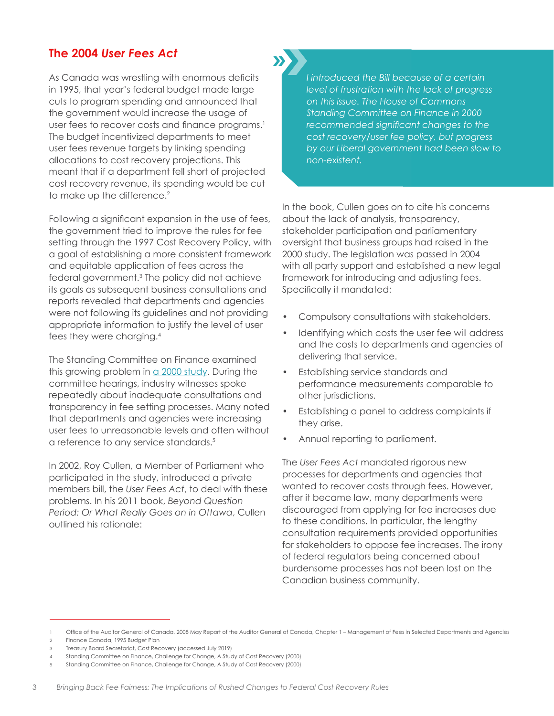## **The 2004** *User Fees Act*

As Canada was wrestling with enormous deficits in 1995, that year's federal budget made large cuts to program spending and announced that the government would increase the usage of user fees to recover costs and finance programs.<sup>1</sup> The budget incentivized departments to meet user fees revenue targets by linking spending allocations to cost recovery projections. This meant that if a department fell short of projected cost recovery revenue, its spending would be cut to make up the difference.<sup>2</sup>

Following a significant expansion in the use of fees, the government tried to improve the rules for fee setting through the 1997 Cost Recovery Policy, with a goal of establishing a more consistent framework and equitable application of fees across the federal government.3 The policy did not achieve its goals as subsequent business consultations and reports revealed that departments and agencies were not following its guidelines and not providing appropriate information to justify the level of user fees they were charging.4

The Standing Committee on Finance examined this growing problem in  $a$  2000 study. During the committee hearings, industry witnesses spoke repeatedly about inadequate consultations and transparency in fee setting processes. Many noted that departments and agencies were increasing user fees to unreasonable levels and often without a reference to any service standards.<sup>5</sup>

In 2002, Roy Cullen, a Member of Parliament who participated in the study, introduced a private members bill, the *User Fees Act*, to deal with these problems. In his 2011 book, *Beyond Question Period: Or What Really Goes on in Ottawa*, Cullen outlined his rationale:

*I introduced the Bill because of a certain level of frustration with the lack of progress on this issue. The House of Commons Standing Committee on Finance in 2000 recommended significant changes to the cost recovery/user fee policy, but progress by our Liberal government had been slow to non-existent.*

In the book, Cullen goes on to cite his concerns about the lack of analysis, transparency, stakeholder participation and parliamentary oversight that business groups had raised in the 2000 study. The legislation was passed in 2004 with all party support and established a new legal framework for introducing and adjusting fees. Specifically it mandated:

- Compulsory consultations with stakeholders.
- Identifying which costs the user fee will address and the costs to departments and agencies of delivering that service.
- Establishing service standards and performance measurements comparable to other jurisdictions.
- Establishing a panel to address complaints if they arise.
- Annual reporting to parliament.

The *User Fees Act* mandated rigorous new processes for departments and agencies that wanted to recover costs through fees. However, after it became law, many departments were discouraged from applying for fee increases due to these conditions. In particular, the lengthy consultation requirements provided opportunities for stakeholders to oppose fee increases. The irony of federal regulators being concerned about burdensome processes has not been lost on the Canadian business community.

<sup>1</sup> Office of the Auditor General of Canada, 2008 May Report of the Auditor General of Canada, Chapter 1 – Management of Fees in Selected Departments and Agencies 2 Finance Canada, 1995 Budget Plan

<sup>3</sup> Treasury Board Secretariat, Cost Recovery (accessed July 2019)

<sup>4</sup> Standing Committee on Finance, Challenge for Change, A Study of Cost Recovery (2000)

<sup>5</sup> Standing Committee on Finance, Challenge for Change, A Study of Cost Recovery (2000)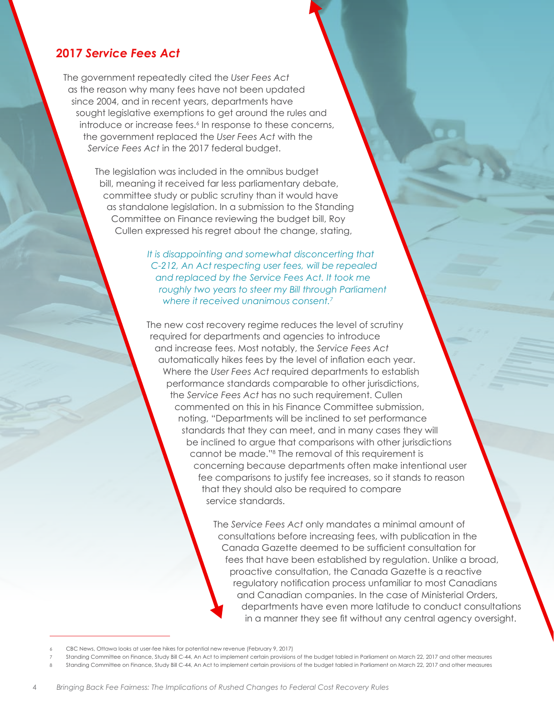### **2017** *Service Fees Act*

The government repeatedly cited the *User Fees Act* as the reason why many fees have not been updated since 2004, and in recent years, departments have sought legislative exemptions to get around the rules and introduce or increase fees.6 In response to these concerns, the government replaced the *User Fees Act* with the *Service Fees Act* in the 2017 federal budget.

> The legislation was included in the omnibus budget bill, meaning it received far less parliamentary debate, committee study or public scrutiny than it would have as standalone legislation. In a submission to the Standing Committee on Finance reviewing the budget bill, Roy Cullen expressed his regret about the change, stating,

> > *It is disappointing and somewhat disconcerting that C-212, An Act respecting user fees, will be repealed and replaced by the Service Fees Act. It took me roughly two years to steer my Bill through Parliament where it received unanimous consent.7*

The new cost recovery regime reduces the level of scrutiny required for departments and agencies to introduce and increase fees. Most notably, the *Service Fees Act*  automatically hikes fees by the level of inflation each year. Where the *User Fees Act* required departments to establish performance standards comparable to other jurisdictions, the *Service Fees Act* has no such requirement. Cullen commented on this in his Finance Committee submission, noting, "Departments will be inclined to set performance standards that they can meet, and in many cases they will be inclined to argue that comparisons with other jurisdictions cannot be made."<sup>8</sup> The removal of this requirement is concerning because departments often make intentional user fee comparisons to justify fee increases, so it stands to reason that they should also be required to compare service standards.

> The *Service Fees Act* only mandates a minimal amount of consultations before increasing fees, with publication in the Canada Gazette deemed to be sufficient consultation for fees that have been established by regulation. Unlike a broad, proactive consultation, the Canada Gazette is a reactive regulatory notification process unfamiliar to most Canadians and Canadian companies. In the case of Ministerial Orders, departments have even more latitude to conduct consultations in a manner they see fit without any central agency oversight.

<sup>6</sup> CBC News, Ottawa looks at user-fee hikes for potential new revenue (February 9, 2017)

<sup>7</sup> Standing Committee on Finance, Study Bill C-44, An Act to implement certain provisions of the budget tabled in Parliament on March 22, 2017 and other measures

<sup>8</sup> Standing Committee on Finance, Study Bill C-44, An Act to implement certain provisions of the budget tabled in Parliament on March 22, 2017 and other measures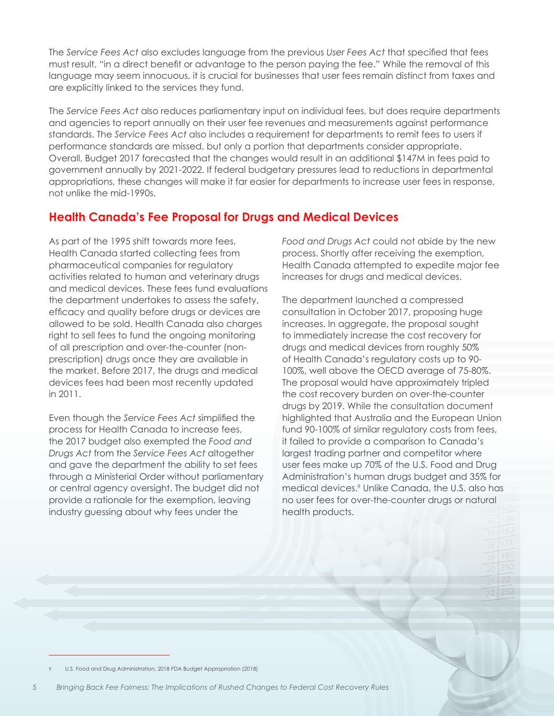The *Service Fees Act* also excludes language from the previous *User Fees Act* that specified that fees must result, "in a direct benefit or advantage to the person paying the fee." While the removal of this language may seem innocuous, it is crucial for businesses that user fees remain distinct from taxes and are explicitly linked to the services they fund.

The *Service Fees Act* also reduces parliamentary input on individual fees, but does require departments and agencies to report annually on their user fee revenues and measurements against performance standards. The *Service Fees Act* also includes a requirement for departments to remit fees to users if performance standards are missed, but only a portion that departments consider appropriate. Overall, Budget 2017 forecasted that the changes would result in an additional \$147M in fees paid to government annually by 2021-2022. If federal budgetary pressures lead to reductions in departmental appropriations, these changes will make it far easier for departments to increase user fees in response, not unlike the mid-1990s.

## **Health Canada's Fee Proposal for Drugs and Medical Devices**

As part of the 1995 shift towards more fees, Health Canada started collecting fees from pharmaceutical companies for regulatory activities related to human and veterinary drugs and medical devices. These fees fund evaluations the department undertakes to assess the safety, efficacy and quality before drugs or devices are allowed to be sold. Health Canada also charges right to sell fees to fund the ongoing monitoring of all prescription and over-the-counter (nonprescription) drugs once they are available in the market. Before 2017, the drugs and medical devices fees had been most recently updated in 2011.

Even though the *Service Fees Act* simplified the process for Health Canada to increase fees, the 2017 budget also exempted the *Food and Drugs Act* from the *Service Fees Act* altogether and gave the department the ability to set fees through a Ministerial Order without parliamentary or central agency oversight. The budget did not provide a rationale for the exemption, leaving industry guessing about why fees under the

*Food and Drugs Act* could not abide by the new process. Shortly after receiving the exemption, Health Canada attempted to expedite major fee increases for drugs and medical devices.

The department launched a compressed consultation in October 2017, proposing huge increases. In aggregate, the proposal sought to immediately increase the cost recovery for drugs and medical devices from roughly 50% of Health Canada's regulatory costs up to 90- 100%, well above the OECD average of 75-80%. The proposal would have approximately tripled the cost recovery burden on over-the-counter drugs by 2019. While the consultation document highlighted that Australia and the European Union fund 90-100% of similar regulatory costs from fees, it failed to provide a comparison to Canada's largest trading partner and competitor where user fees make up 70% of the U.S. Food and Drug Administration's human drugs budget and 35% for medical devices.9 Unlike Canada, the U.S. also has no user fees for over-the-counter drugs or natural health products.

9 U.S. Food and Drug Administration, 2018 FDA Budget Appropriation (2018)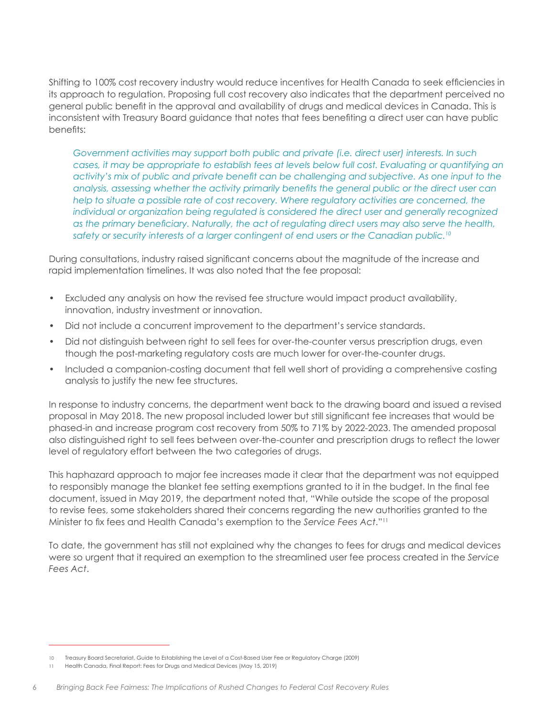Shifting to 100% cost recovery industry would reduce incentives for Health Canada to seek efficiencies in its approach to regulation. Proposing full cost recovery also indicates that the department perceived no general public benefit in the approval and availability of drugs and medical devices in Canada. This is inconsistent with Treasury Board guidance that notes that fees benefiting a direct user can have public benefits:

*Government activities may support both public and private (i.e. direct user) interests. In such cases, it may be appropriate to establish fees at levels below full cost. Evaluating or quantifying an activity's mix of public and private benefit can be challenging and subjective. As one input to the analysis, assessing whether the activity primarily benefits the general public or the direct user can help to situate a possible rate of cost recovery. Where regulatory activities are concerned, the individual or organization being regulated is considered the direct user and generally recognized as the primary beneficiary. Naturally, the act of regulating direct users may also serve the health, safety or security interests of a larger contingent of end users or the Canadian public.10*

During consultations, industry raised significant concerns about the magnitude of the increase and rapid implementation timelines. It was also noted that the fee proposal:

- Excluded any analysis on how the revised fee structure would impact product availability, innovation, industry investment or innovation.
- Did not include a concurrent improvement to the department's service standards.
- Did not distinguish between right to sell fees for over-the-counter versus prescription drugs, even though the post-marketing regulatory costs are much lower for over-the-counter drugs.
- Included a companion-costing document that fell well short of providing a comprehensive costing analysis to justify the new fee structures.

In response to industry concerns, the department went back to the drawing board and issued a revised proposal in May 2018. The new proposal included lower but still significant fee increases that would be phased-in and increase program cost recovery from 50% to 71% by 2022-2023. The amended proposal also distinguished right to sell fees between over-the-counter and prescription drugs to reflect the lower level of regulatory effort between the two categories of drugs.

This haphazard approach to major fee increases made it clear that the department was not equipped to responsibly manage the blanket fee setting exemptions granted to it in the budget. In the final fee document, issued in May 2019, the department noted that, "While outside the scope of the proposal to revise fees, some stakeholders shared their concerns regarding the new authorities granted to the Minister to fix fees and Health Canada's exemption to the *Service Fees Act*."11

To date, the government has still not explained why the changes to fees for drugs and medical devices were so urgent that it required an exemption to the streamlined user fee process created in the *Service Fees Act*.

<sup>10</sup> Treasury Board Secretariat, Guide to Establishing the Level of a Cost-Based User Fee or Regulatory Charge (2009)

<sup>11</sup> Health Canada, Final Report: Fees for Drugs and Medical Devices (May 15, 2019)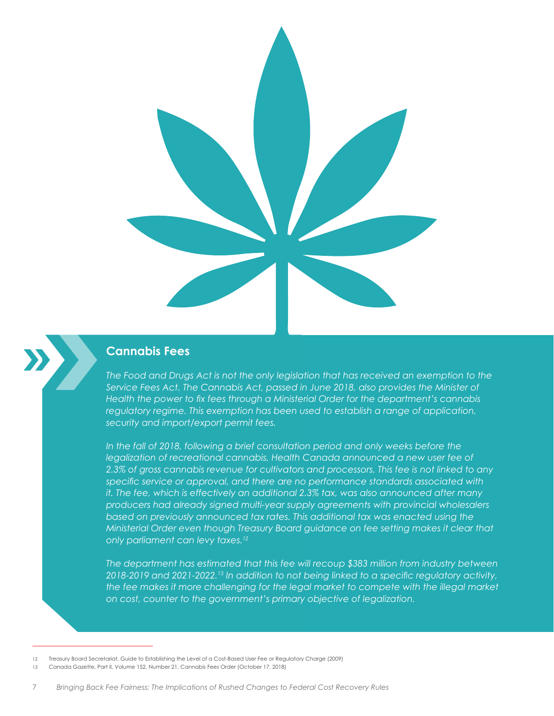

### **Cannabis Fees**

*The Food and Drugs Act is not the only legislation that has received an exemption to the Service Fees Act. The Cannabis Act, passed in June 2018, also provides the Minister of Health the power to fix fees through a Ministerial Order for the department's cannabis regulatory regime. This exemption has been used to establish a range of application, security and import/export permit fees.* 

In the fall of 2018, following a brief consultation period and only weeks before the *legalization of recreational cannabis, Health Canada announced a new user fee of 2.3% of gross cannabis revenue for cultivators and processors. This fee is not linked to any specific service or approval, and there are no performance standards associated with it. The fee, which is effectively an additional 2.3% tax, was also announced after many producers had already signed multi-year supply agreements with provincial wholesalers based on previously announced tax rates. This additional tax was enacted using the Ministerial Order even though Treasury Board guidance on fee setting makes it clear that only parliament can levy taxes.12*

*The department has estimated that this fee will recoup \$383 million from industry between 2018-2019 and 2021-2022.13 In addition to not being linked to a specific regulatory activity, the fee makes it more challenging for the legal market to compete with the illegal market on cost, counter to the government's primary objective of legalization.*

<sup>12</sup> Treasury Board Secretariat, Guide to Establishing the Level of a Cost-Based User Fee or Regulatory Charge (2009)

<sup>13</sup> Canada Gazette, Part II, Volume 152, Number 21, Cannabis Fees Order (October 17, 2018)